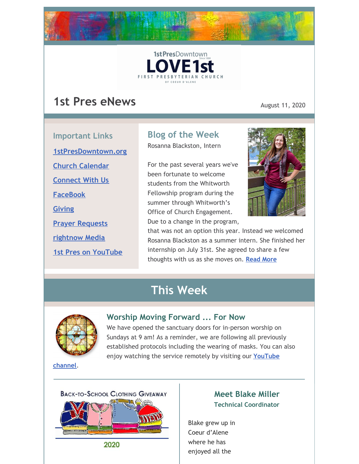



# **1st Pres eNews** August 11, 2020

**Important Links [1stPresDowntown.org](http://www.1stpresdowntown.org/) Church [Calendar](http://www.1stpresdowntown.org/calendar/) [Connect](https://www.1stpresdowntown.org/connect-with-us.html) With Us [FaceBook](https://www.facebook.com/cdadowntownchurch/) [Giving](https://www.eservicepayments.com/cgi-bin/Vanco_ver3.vps?appver3=Fi1giPL8kwX_Oe1AO50jRhFtjI3jPush-TiV_cWeMqos4NSQukCYDzKLUtTTUlsf2EvVVAEjqawDomKT1pbouWbIw4yEvEZZftNOfs1-eIM%3D&ver=3) Prayer [Requests](https://www.1stpresdowntown.org/prayer-request.html) [rightnow](https://accounts.rightnowmedia.org/Account/Invite/FirstPresDowntown?returnUrl=https://www.rightnowmedia.org/Account/Media/InviteReturn) Media**

**1st Pres on [YouTube](https://www.youtube.com/channel/UCCfruZriuZfS2hVar79nXbQ)**

## **Blog of the Week**

Rosanna Blackston, Intern

For the past several years we've been fortunate to welcome students from the Whitworth Fellowship program during the summer through Whitworth's Office of Church Engagement. Due to a change in the program,



that was not an option this year. Instead we welcomed Rosanna Blackston as a summer intern. She finished her internship on July 31st. She agreed to share a few thoughts with us as she moves on. **[Read](https://www.1stpresdowntown.org/blog/a-summer-reflection) More**

# **This Week**



### **Worship Moving Forward ... For Now**

We have opened the sanctuary doors for in-person worship on Sundays at 9 am! As a reminder, we are following all previously established protocols including the wearing of masks. You can also enjoy watching the service remotely by visiting our **[YouTube](https://www.youtube.com/channel/UCCfruZriuZfS2hVar79nXbQ)**

**channel**.



## **Meet Blake Miller Technical Coordinator**

Blake grew up in Coeur d'Alene where he has enjoyed all the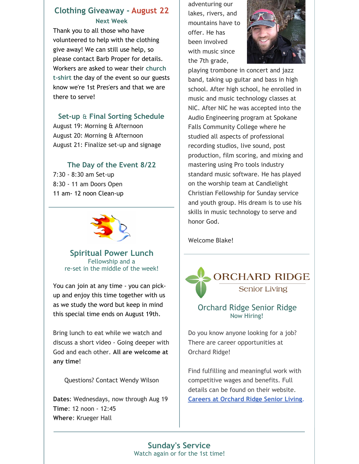### **Clothing Giveaway - August 22 Next Week**

Thank you to all those who have volunteered to help with the clothing give away! We can still use help, so please contact Barb Proper for details. Workers are asked to wear their **church t-shirt** the day of the event so our guests know we're 1st Pres'ers and that we are there to serve!

#### **Set-up** & **Final Sorting Schedule**

August 19: Morning & Afternoon August 20: Morning & Afternoon August 21: Finalize set-up and signage

#### **The Day of the Event 8/22**

7:30 - 8:30 am Set-up 8:30 - 11 am Doors Open 11 am- 12 noon Clean-up



**Spiritual Power Lunch** Fellowship and a re-set in the middle of the week!

You can join at any time - you can pickup and enjoy this time together with us as we study the word but keep in mind this special time ends on August 19th.

Bring lunch to eat while we watch and discuss a short video - Going deeper with God and each other. **All are welcome at any time**!

Questions? Contact Wendy Wilson

**Dates**: Wednesdays, now through Aug 19 **Time**: 12 noon - 12:45 **Where**: Krueger Hall

adventuring our lakes, rivers, and mountains have to offer. He has been involved with music since the 7th grade,



playing trombone in concert and jazz band, taking up guitar and bass in high school. After high school, he enrolled in music and music technology classes at NIC. After NIC he was accepted into the Audio Engineering program at Spokane Falls Community College where he studied all aspects of professional recording studios, live sound, post production, film scoring, and mixing and mastering using Pro tools industry standard music software. He has played on the worship team at Candlelight Christian Fellowship for Sunday service and youth group. His dream is to use his skills in music technology to serve and honor God.

Welcome Blake!



Orchard Ridge Senior Ridge Now Hiring!

Do you know anyone looking for a job? There are career opportunities at Orchard Ridge!

Find fulfilling and meaningful work with competitive wages and benefits. Full details can be found on their website. **Careers at [Orchard](http://www.theorchardcda.org/careers/) Ridge Senior Living**.

### **Sunday's Service**

Watch again or for the 1st time!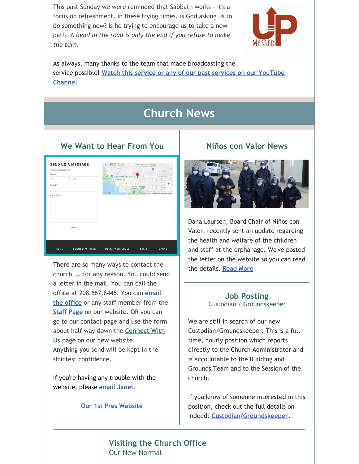This past Sunday we were reminded that Sabbath works - it's a focus on refreshment. In these trying times, is God asking us to do something new? Is he trying to encourage us to take a new path. *A bend in the road is only the end if you refuse to make the turn.*



As always, many thanks to the team that made broadcasting the service possible! **Watch this service or any of our past services on our [YouTube](http://r20.rs6.net/tn.jsp?f=001TAEhPUeQXKS9PqOcukkRsNWUgGUBHZ7_nsdteClYMruoiLz1t14TsRr7UTt-UexyP7z8jFaaIPKIpT969G_ZUIkYi5mYoaY3H9bWFO_7npHXgu-wj68OzdnwykJslgohuottq9rPNR3w65MF7RkVXiqP9csz0dJjjE9juxHUxnD7AALW2Znqj4jNvmwW1hgb&c=xj6uxv4Ure-jLmebrsiWHqZgofQxk1jiFOFxtq_GIS985IIRxfa2wg==&ch=yLb4idgMcf26VkL_Lc86HYFK_5hMVavweuM2KPPMNNX6Iob9yt8sLA==) Channel**

# **Church News**

### **We Want to Hear From You**



There are so many ways to contact the church ... for any reason. You could send a letter in the mail. You can call the office at [208.667.8446.](mailto:office@1stpresdowntown.org) You can **email the office** or any staff member from the **[Staff](https://www.1stpresdowntown.org/leadership--staff.html) Pa[ge](https://www.1stpresdowntown.org/leadership--staff.html)** on our website. OR you can go to our contact page and use the form about half way down the **Connect With Us** page on our new [website.](https://www.1stpresdowntown.org/connect-with-us.html) Anything you send will be kept in the strictest confidence.

If you're having any trouble with the website, please **email [Janet](mailto:janet@1stpresdowntown.org)**.

#### **Our 1st Pres [Website](http://www.1stpresdowntown.org/)**

#### **Niños con Valor News**



Dana Laursen, Board Chair of Niños con Valor, recently sent an update regarding the health and welfare of the children and staff at the orphanage. We've posted the letter on the website so you can read the details. **[Read](https://www.1stpresdowntown.org/nintildeos-con-valor.html) More**

#### **Job Posting** Custodian / Groundskeeper

We are still in search of our new Custodian/Groundskeeper. This is a fulltime, hourly position which reports directly to the Church Administrator and is accountable to the Building and Grounds Team and to the Session of the church.

If you know of someone interested in this position, check out the full details on Indeed: **[Custodian/Groundskeeper](https://www.indeed.com/job/custodiangroundskeeper-1713db722b958251)**.

**Visiting the Church Office** Our New Normal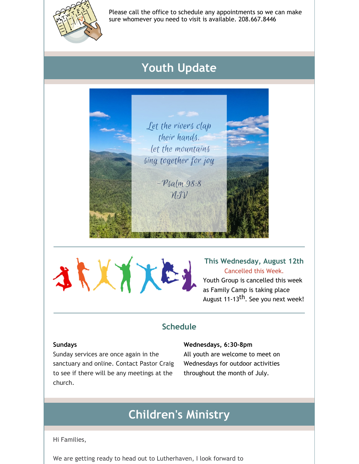

Please call the office to schedule any appointments so we can make sure whomever you need to visit is available. 208.667.8446

# **Youth Update**





**This Wednesday, August 12th** Cancelled this Week.

Youth Group is cancelled this week as Family Camp is taking place August 11-13<sup>th</sup>. See you next week!

## **Schedule**

#### **Sundays**

Sunday services are once again in the sanctuary and online. Contact Pastor Craig to see if there will be any meetings at the church.

**Wednesdays, 6:30-8pm**

All youth are welcome to meet on Wednesdays for outdoor activities throughout the month of July.

# **Children's Ministry**

Hi Families,

We are getting ready to head out to Lutherhaven, I look forward to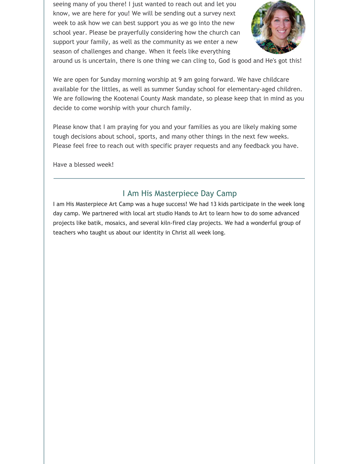seeing many of you there! I just wanted to reach out and let you know, we are here for you! We will be sending out a survey next week to ask how we can best support you as we go into the new school year. Please be prayerfully considering how the church can support your family, as well as the community as we enter a new season of challenges and change. When it feels like everything



around us is uncertain, there is one thing we can cling to, God is good and He's got this!

We are open for Sunday morning worship at 9 am going forward. We have childcare available for the littles, as well as summer Sunday school for elementary-aged children. We are following the Kootenai County Mask mandate, so please keep that in mind as you decide to come worship with your church family.

Please know that I am praying for you and your families as you are likely making some tough decisions about school, sports, and many other things in the next few weeks. Please feel free to reach out with specific prayer requests and any feedback you have.

Have a blessed week!

### I Am His Masterpiece Day Camp

I am His Masterpiece Art Camp was a huge success! We had 13 kids participate in the week long day camp. We partnered with local art studio Hands to Art to learn how to do some advanced projects like batik, mosaics, and several kiln-fired clay projects. We had a wonderful group of teachers who taught us about our identity in Christ all week long.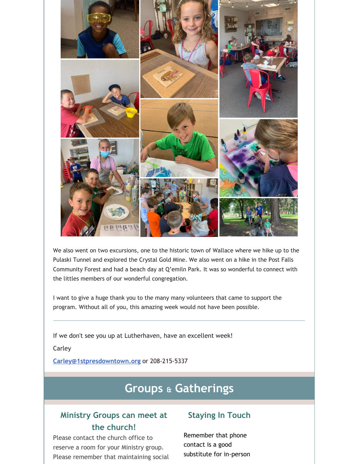

We also went on two excursions, one to the historic town of Wallace where we hike up to the Pulaski Tunnel and explored the Crystal Gold Mine. We also went on a hike in the Post Falls Community Forest and had a beach day at Q'emiln Park. It was so wonderful to connect with the littles members of our wonderful congregation.

I want to give a huge thank you to the many many volunteers that came to support the program. Without all of you, this amazing week would not have been possible.

If we don't see you up at Lutherhaven, have an excellent week!

Carley

**[Carley@1stpresdowntown.org](mailto:Carley@1stpresdowntown.org)** or 208-215-5337

# **Groups & Gatherings**

## **Ministry Groups can meet at the church!**

Please contact the church office to reserve a room for your Ministry group. Please remember that maintaining social

### **Staying In Touch**

Remember that phone contact is a good substitute for in-person